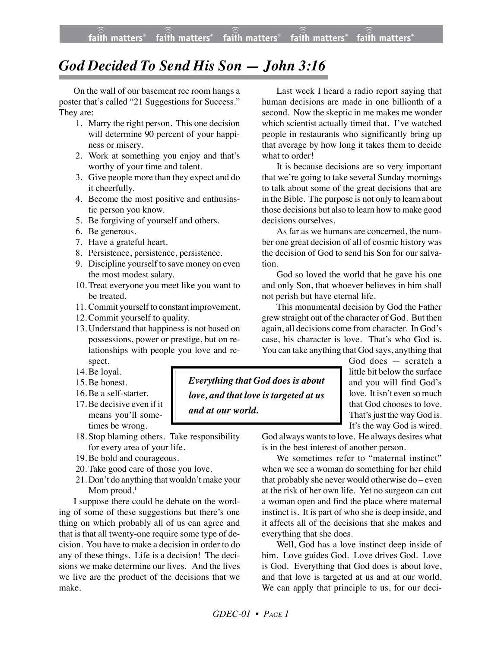## *God Decided To Send His Son — John 3:16*

On the wall of our basement rec room hangs a poster that's called "21 Suggestions for Success." They are:

- 1. Marry the right person. This one decision will determine 90 percent of your happiness or misery.
- 2. Work at something you enjoy and that's worthy of your time and talent.
- 3. Give people more than they expect and do it cheerfully.
- 4. Become the most positive and enthusiastic person you know.
- 5. Be forgiving of yourself and others.
- 6. Be generous.
- 7. Have a grateful heart.
- 8. Persistence, persistence, persistence.
- 9. Discipline yourself to save money on even the most modest salary.
- 10. Treat everyone you meet like you want to be treated.
- 11. Commit yourself to constant improvement.
- 12. Commit yourself to quality.
- 13. Understand that happiness is not based on possessions, power or prestige, but on relationships with people you love and respect.
- 14. Be loyal.
- 15. Be honest.
- 16. Be a self-starter.
- 17.Be decisive even if it means you'll sometimes be wrong.
- 18. Stop blaming others. Take responsibility for every area of your life.
- 19. Be bold and courageous.
- 20. Take good care of those you love.
- 21. Don't do anything that wouldn't make your Mom proud.<sup>1</sup>

I suppose there could be debate on the wording of some of these suggestions but there's one thing on which probably all of us can agree and that is that all twenty-one require some type of decision. You have to make a decision in order to do any of these things. Life is a decision! The decisions we make determine our lives. And the lives we live are the product of the decisions that we make.

*Everything that God does is about love, and that love is targeted at us and at our world.*

Last week I heard a radio report saying that human decisions are made in one billionth of a second. Now the skeptic in me makes me wonder which scientist actually timed that. I've watched people in restaurants who significantly bring up that average by how long it takes them to decide what to order!

It is because decisions are so very important that we're going to take several Sunday mornings to talk about some of the great decisions that are in the Bible. The purpose is not only to learn about those decisions but also to learn how to make good decisions ourselves.

As far as we humans are concerned, the number one great decision of all of cosmic history was the decision of God to send his Son for our salvation.

God so loved the world that he gave his one and only Son, that whoever believes in him shall not perish but have eternal life.

This monumental decision by God the Father grew straight out of the character of God. But then again, all decisions come from character. In God's case, his character is love. That's who God is. You can take anything that God says, anything that

> God does — scratch a little bit below the surface and you will find God's love. It isn't even so much that God chooses to love. That's just the way God is. It's the way God is wired.

God always wants to love. He always desires what is in the best interest of another person.

We sometimes refer to "maternal instinct" when we see a woman do something for her child that probably she never would otherwise do – even at the risk of her own life. Yet no surgeon can cut a woman open and find the place where maternal instinct is. It is part of who she is deep inside, and it affects all of the decisions that she makes and everything that she does.

Well, God has a love instinct deep inside of him. Love guides God. Love drives God. Love is God. Everything that God does is about love, and that love is targeted at us and at our world. We can apply that principle to us, for our deci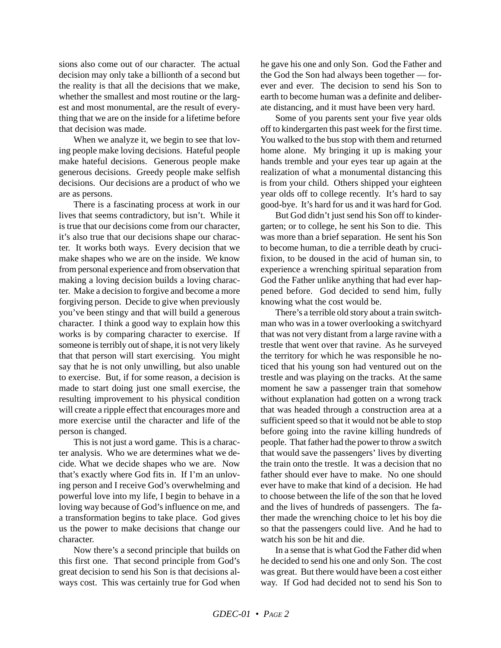sions also come out of our character. The actual decision may only take a billionth of a second but the reality is that all the decisions that we make, whether the smallest and most routine or the largest and most monumental, are the result of everything that we are on the inside for a lifetime before that decision was made.

When we analyze it, we begin to see that loving people make loving decisions. Hateful people make hateful decisions. Generous people make generous decisions. Greedy people make selfish decisions. Our decisions are a product of who we are as persons.

There is a fascinating process at work in our lives that seems contradictory, but isn't. While it is true that our decisions come from our character, it's also true that our decisions shape our character. It works both ways. Every decision that we make shapes who we are on the inside. We know from personal experience and from observation that making a loving decision builds a loving character. Make a decision to forgive and become a more forgiving person. Decide to give when previously you've been stingy and that will build a generous character. I think a good way to explain how this works is by comparing character to exercise. If someone is terribly out of shape, it is not very likely that that person will start exercising. You might say that he is not only unwilling, but also unable to exercise. But, if for some reason, a decision is made to start doing just one small exercise, the resulting improvement to his physical condition will create a ripple effect that encourages more and more exercise until the character and life of the person is changed.

This is not just a word game. This is a character analysis. Who we are determines what we decide. What we decide shapes who we are. Now that's exactly where God fits in. If I'm an unloving person and I receive God's overwhelming and powerful love into my life, I begin to behave in a loving way because of God's influence on me, and a transformation begins to take place. God gives us the power to make decisions that change our character.

Now there's a second principle that builds on this first one. That second principle from God's great decision to send his Son is that decisions always cost. This was certainly true for God when he gave his one and only Son. God the Father and the God the Son had always been together — forever and ever. The decision to send his Son to earth to become human was a definite and deliberate distancing, and it must have been very hard.

Some of you parents sent your five year olds off to kindergarten this past week for the first time. You walked to the bus stop with them and returned home alone. My bringing it up is making your hands tremble and your eyes tear up again at the realization of what a monumental distancing this is from your child. Others shipped your eighteen year olds off to college recently. It's hard to say good-bye. It's hard for us and it was hard for God.

But God didn't just send his Son off to kindergarten; or to college, he sent his Son to die. This was more than a brief separation. He sent his Son to become human, to die a terrible death by crucifixion, to be doused in the acid of human sin, to experience a wrenching spiritual separation from God the Father unlike anything that had ever happened before. God decided to send him, fully knowing what the cost would be.

There's a terrible old story about a train switchman who was in a tower overlooking a switchyard that was not very distant from a large ravine with a trestle that went over that ravine. As he surveyed the territory for which he was responsible he noticed that his young son had ventured out on the trestle and was playing on the tracks. At the same moment he saw a passenger train that somehow without explanation had gotten on a wrong track that was headed through a construction area at a sufficient speed so that it would not be able to stop before going into the ravine killing hundreds of people. That father had the power to throw a switch that would save the passengers' lives by diverting the train onto the trestle. It was a decision that no father should ever have to make. No one should ever have to make that kind of a decision. He had to choose between the life of the son that he loved and the lives of hundreds of passengers. The father made the wrenching choice to let his boy die so that the passengers could live. And he had to watch his son be hit and die.

In a sense that is what God the Father did when he decided to send his one and only Son. The cost was great. But there would have been a cost either way. If God had decided not to send his Son to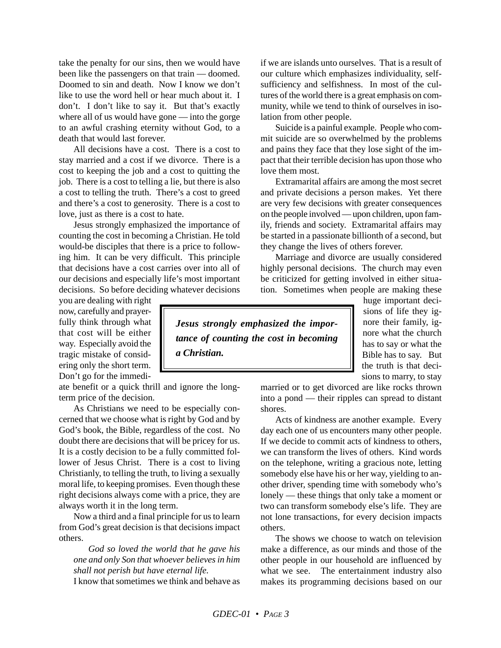take the penalty for our sins, then we would have been like the passengers on that train — doomed. Doomed to sin and death. Now I know we don't like to use the word hell or hear much about it. I don't. I don't like to say it. But that's exactly where all of us would have gone — into the gorge to an awful crashing eternity without God, to a death that would last forever.

All decisions have a cost. There is a cost to stay married and a cost if we divorce. There is a cost to keeping the job and a cost to quitting the job. There is a cost to telling a lie, but there is also a cost to telling the truth. There's a cost to greed and there's a cost to generosity. There is a cost to love, just as there is a cost to hate.

Jesus strongly emphasized the importance of counting the cost in becoming a Christian. He told would-be disciples that there is a price to following him. It can be very difficult. This principle that decisions have a cost carries over into all of our decisions and especially life's most important decisions. So before deciding whatever decisions

you are dealing with right now, carefully and prayerfully think through what that cost will be either way. Especially avoid the tragic mistake of considering only the short term. Don't go for the immedi-

ate benefit or a quick thrill and ignore the longterm price of the decision.

As Christians we need to be especially concerned that we choose what is right by God and by God's book, the Bible, regardless of the cost. No doubt there are decisions that will be pricey for us. It is a costly decision to be a fully committed follower of Jesus Christ. There is a cost to living Christianly, to telling the truth, to living a sexually moral life, to keeping promises. Even though these right decisions always come with a price, they are always worth it in the long term.

Now a third and a final principle for us to learn from God's great decision is that decisions impact others.

*God so loved the world that he gave his one and only Son that whoever believes in him shall not perish but have eternal life.*

I know that sometimes we think and behave as

if we are islands unto ourselves. That is a result of our culture which emphasizes individuality, selfsufficiency and selfishness. In most of the cultures of the world there is a great emphasis on community, while we tend to think of ourselves in isolation from other people.

Suicide is a painful example. People who commit suicide are so overwhelmed by the problems and pains they face that they lose sight of the impact that their terrible decision has upon those who love them most.

Extramarital affairs are among the most secret and private decisions a person makes. Yet there are very few decisions with greater consequences on the people involved — upon children, upon family, friends and society. Extramarital affairs may be started in a passionate billionth of a second, but they change the lives of others forever.

Marriage and divorce are usually considered highly personal decisions. The church may even be criticized for getting involved in either situation. Sometimes when people are making these

*Jesus strongly emphasized the importance of counting the cost in becoming a Christian.*

huge important decisions of life they ignore their family, ignore what the church has to say or what the Bible has to say. But the truth is that decisions to marry, to stay

married or to get divorced are like rocks thrown into a pond — their ripples can spread to distant shores.

Acts of kindness are another example. Every day each one of us encounters many other people. If we decide to commit acts of kindness to others, we can transform the lives of others. Kind words. on the telephone, writing a gracious note, letting somebody else have his or her way, yielding to another driver, spending time with somebody who's lonely — these things that only take a moment or two can transform somebody else's life. They are not lone transactions, for every decision impacts others.

The shows we choose to watch on television make a difference, as our minds and those of the other people in our household are influenced by what we see. The entertainment industry also makes its programming decisions based on our